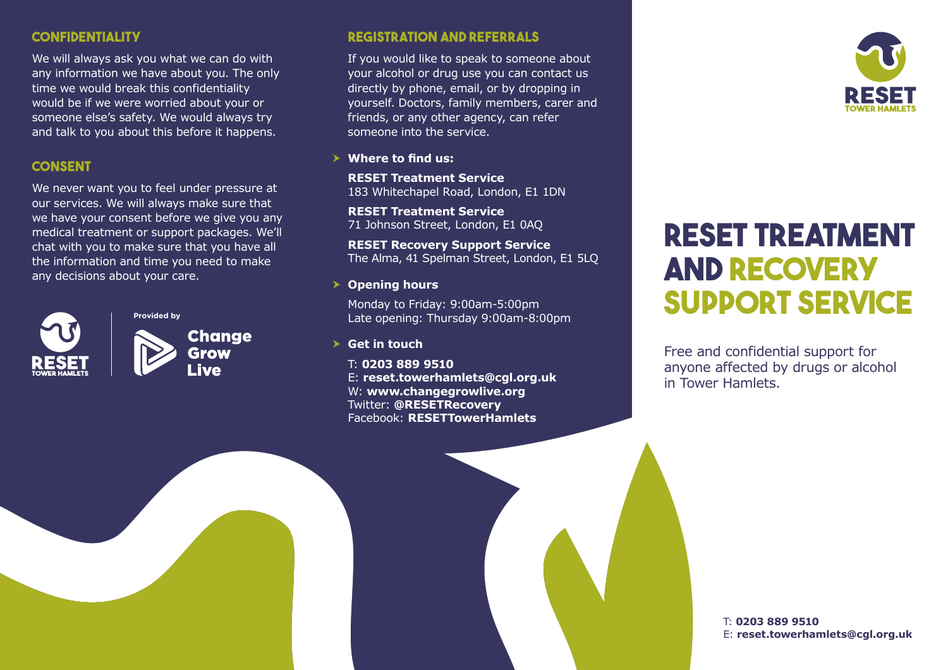### **Confidentiality**

We will always ask you what we can do with any information we have about you. The only time we would break this confidentiality would be if we were worried about your or someone else's safety. We would always try and talk to you about this before it happens.

### **Consent**

We never want you to feel under pressure at our services. We will always make sure that we have your consent before we give you any medical treatment or support packages. We'll chat with you to make sure that you have all the information and time you need to make any decisions about your care.



**Provided by Change Grow** Live

### **Registration and Referrals**

If you would like to speak to someone about your alcohol or drug use you can contact us directly by phone, email, or by dropping in yourself. Doctors, family members, carer and friends, or any other agency, can refer someone into the service.

#### > Where to find us:

**RESET Treatment Service** 183 Whitechapel Road, London, E1 1DN

**RESET Treatment Service** 71 Johnson Street, London, E1 0AQ

**RESET Recovery Support Service** The Alma, 41 Spelman Street, London, E1 5LQ

> Opening hours

Monday to Friday: 9:00am-5:00pm Late opening: Thursday 9:00am-8:00pm

**h** Get in touch

T: **0203 889 9510** E: **reset.towerhamlets@cgl.org.uk** W: **www.changegrowlive.org** Twitter: **@RESETRecovery** Facebook: **RESETTowerHamlets**



# **RESET TREATMENT AND RECOVERY SUPPORT SERVICE**

Free and confidential support for anyone affected by drugs or alcohol in Tower Hamlets.